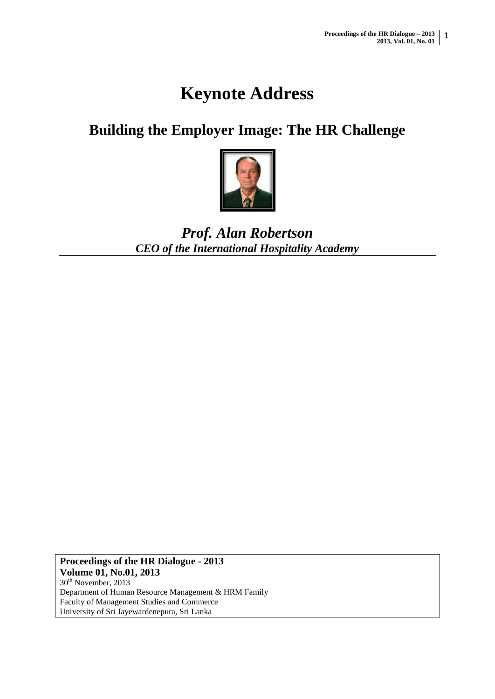# **Keynote Address**

## **Building the Employer Image: The HR Challenge**



### *Prof. Alan Robertson CEO of the International Hospitality Academy*

**Proceedings of the HR Dialogue - 2013 Volume 01, No.01, 2013** 30<sup>th</sup> November, 2013 Department of Human Resource Management & HRM Family Faculty of Management Studies and Commerce University of Sri Jayewardenepura, Sri Lanka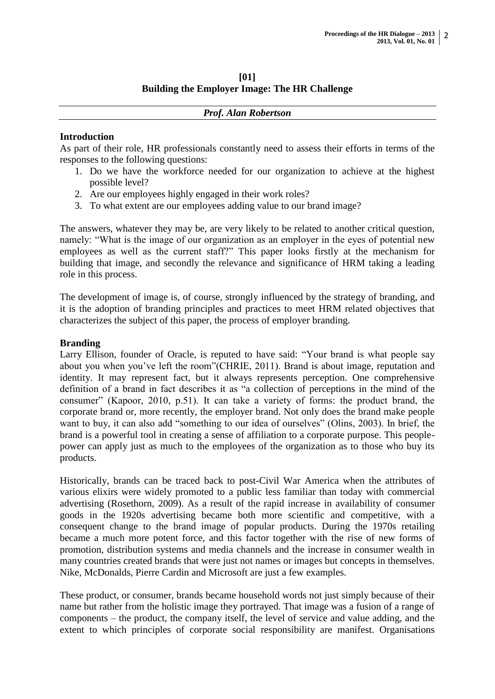#### **[01] Building the Employer Image: The HR Challenge**

|  | <b>Prof. Alan Robertson</b> |
|--|-----------------------------|
|--|-----------------------------|

#### **Introduction**

As part of their role, HR professionals constantly need to assess their efforts in terms of the responses to the following questions:

- 1. Do we have the workforce needed for our organization to achieve at the highest possible level?
- 2. Are our employees highly engaged in their work roles?
- 3. To what extent are our employees adding value to our brand image?

The answers, whatever they may be, are very likely to be related to another critical question, namely: "What is the image of our organization as an employer in the eyes of potential new employees as well as the current staff?" This paper looks firstly at the mechanism for building that image, and secondly the relevance and significance of HRM taking a leading role in this process.

The development of image is, of course, strongly influenced by the strategy of branding, and it is the adoption of branding principles and practices to meet HRM related objectives that characterizes the subject of this paper, the process of employer branding.

#### **Branding**

Larry Ellison, founder of Oracle, is reputed to have said: "Your brand is what people say about you when you've left the room"(CHRIE, 2011). Brand is about image, reputation and identity. It may represent fact, but it always represents perception. One comprehensive definition of a brand in fact describes it as "a collection of perceptions in the mind of the consumer" (Kapoor, 2010, p.51). It can take a variety of forms: the product brand, the corporate brand or, more recently, the employer brand. Not only does the brand make people want to buy, it can also add "something to our idea of ourselves" (Olins, 2003). In brief, the brand is a powerful tool in creating a sense of affiliation to a corporate purpose. This peoplepower can apply just as much to the employees of the organization as to those who buy its products.

Historically, brands can be traced back to post-Civil War America when the attributes of various elixirs were widely promoted to a public less familiar than today with commercial advertising (Rosethorn, 2009). As a result of the rapid increase in availability of consumer goods in the 1920s advertising became both more scientific and competitive, with a consequent change to the brand image of popular products. During the 1970s retailing became a much more potent force, and this factor together with the rise of new forms of promotion, distribution systems and media channels and the increase in consumer wealth in many countries created brands that were just not names or images but concepts in themselves. Nike, McDonalds, Pierre Cardin and Microsoft are just a few examples.

These product, or consumer, brands became household words not just simply because of their name but rather from the holistic image they portrayed. That image was a fusion of a range of components – the product, the company itself, the level of service and value adding, and the extent to which principles of corporate social responsibility are manifest. Organisations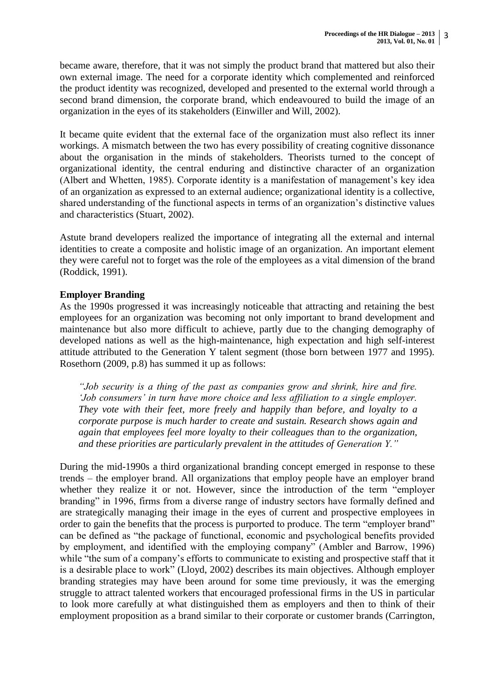became aware, therefore, that it was not simply the product brand that mattered but also their own external image. The need for a corporate identity which complemented and reinforced the product identity was recognized, developed and presented to the external world through a second brand dimension, the corporate brand, which endeavoured to build the image of an organization in the eyes of its stakeholders (Einwiller and Will, 2002).

It became quite evident that the external face of the organization must also reflect its inner workings. A mismatch between the two has every possibility of creating cognitive dissonance about the organisation in the minds of stakeholders. Theorists turned to the concept of organizational identity, the central enduring and distinctive character of an organization (Albert and Whetten, 1985). Corporate identity is a manifestation of management's key idea of an organization as expressed to an external audience; organizational identity is a collective, shared understanding of the functional aspects in terms of an organization's distinctive values and characteristics (Stuart, 2002).

Astute brand developers realized the importance of integrating all the external and internal identities to create a composite and holistic image of an organization. An important element they were careful not to forget was the role of the employees as a vital dimension of the brand (Roddick, 1991).

#### **Employer Branding**

As the 1990s progressed it was increasingly noticeable that attracting and retaining the best employees for an organization was becoming not only important to brand development and maintenance but also more difficult to achieve, partly due to the changing demography of developed nations as well as the high-maintenance, high expectation and high self-interest attitude attributed to the Generation Y talent segment (those born between 1977 and 1995). Rosethorn (2009, p.8) has summed it up as follows:

*"Job security is a thing of the past as companies grow and shrink, hire and fire. 'Job consumers' in turn have more choice and less affiliation to a single employer. They vote with their feet, more freely and happily than before, and loyalty to a corporate purpose is much harder to create and sustain. Research shows again and again that employees feel more loyalty to their colleagues than to the organization, and these priorities are particularly prevalent in the attitudes of Generation Y."*

During the mid-1990s a third organizational branding concept emerged in response to these trends – the employer brand. All organizations that employ people have an employer brand whether they realize it or not. However, since the introduction of the term "employer branding" in 1996, firms from a diverse range of industry sectors have formally defined and are strategically managing their image in the eyes of current and prospective employees in order to gain the benefits that the process is purported to produce. The term "employer brand" can be defined as "the package of functional, economic and psychological benefits provided by employment, and identified with the employing company" (Ambler and Barrow, 1996) while "the sum of a company's efforts to communicate to existing and prospective staff that it is a desirable place to work" (Lloyd, 2002) describes its main objectives. Although employer branding strategies may have been around for some time previously, it was the emerging struggle to attract talented workers that encouraged professional firms in the US in particular to look more carefully at what distinguished them as employers and then to think of their employment proposition as a brand similar to their corporate or customer brands (Carrington,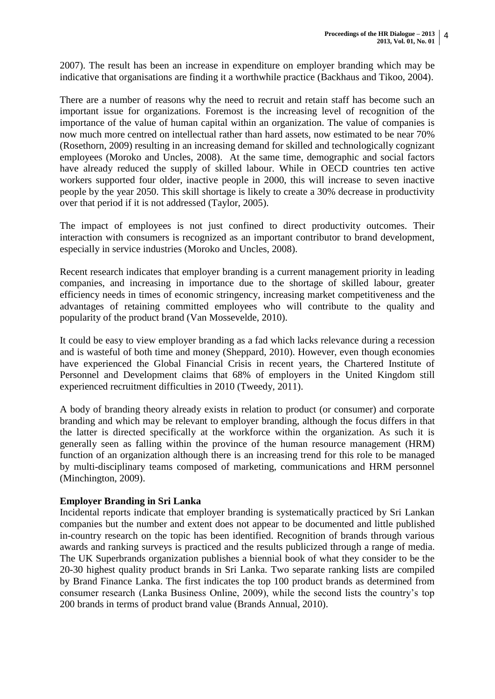2007). The result has been an increase in expenditure on employer branding which may be indicative that organisations are finding it a worthwhile practice (Backhaus and Tikoo, 2004).

There are a number of reasons why the need to recruit and retain staff has become such an important issue for organizations. Foremost is the increasing level of recognition of the importance of the value of human capital within an organization. The value of companies is now much more centred on intellectual rather than hard assets, now estimated to be near 70% (Rosethorn, 2009) resulting in an increasing demand for skilled and technologically cognizant employees (Moroko and Uncles, 2008). At the same time, demographic and social factors have already reduced the supply of skilled labour. While in OECD countries ten active workers supported four older, inactive people in 2000, this will increase to seven inactive people by the year 2050. This skill shortage is likely to create a 30% decrease in productivity over that period if it is not addressed (Taylor, 2005).

The impact of employees is not just confined to direct productivity outcomes. Their interaction with consumers is recognized as an important contributor to brand development, especially in service industries (Moroko and Uncles, 2008).

Recent research indicates that employer branding is a current management priority in leading companies, and increasing in importance due to the shortage of skilled labour, greater efficiency needs in times of economic stringency, increasing market competitiveness and the advantages of retaining committed employees who will contribute to the quality and popularity of the product brand (Van Mossevelde, 2010).

It could be easy to view employer branding as a fad which lacks relevance during a recession and is wasteful of both time and money (Sheppard, 2010). However, even though economies have experienced the Global Financial Crisis in recent years, the Chartered Institute of Personnel and Development claims that 68% of employers in the United Kingdom still experienced recruitment difficulties in 2010 (Tweedy, 2011).

A body of branding theory already exists in relation to product (or consumer) and corporate branding and which may be relevant to employer branding, although the focus differs in that the latter is directed specifically at the workforce within the organization. As such it is generally seen as falling within the province of the human resource management (HRM) function of an organization although there is an increasing trend for this role to be managed by multi-disciplinary teams composed of marketing, communications and HRM personnel (Minchington, 2009).

#### **Employer Branding in Sri Lanka**

Incidental reports indicate that employer branding is systematically practiced by Sri Lankan companies but the number and extent does not appear to be documented and little published in-country research on the topic has been identified. Recognition of brands through various awards and ranking surveys is practiced and the results publicized through a range of media. The UK Superbrands organization publishes a biennial book of what they consider to be the 20-30 highest quality product brands in Sri Lanka. Two separate ranking lists are compiled by Brand Finance Lanka. The first indicates the top 100 product brands as determined from consumer research (Lanka Business Online, 2009), while the second lists the country's top 200 brands in terms of product brand value (Brands Annual, 2010).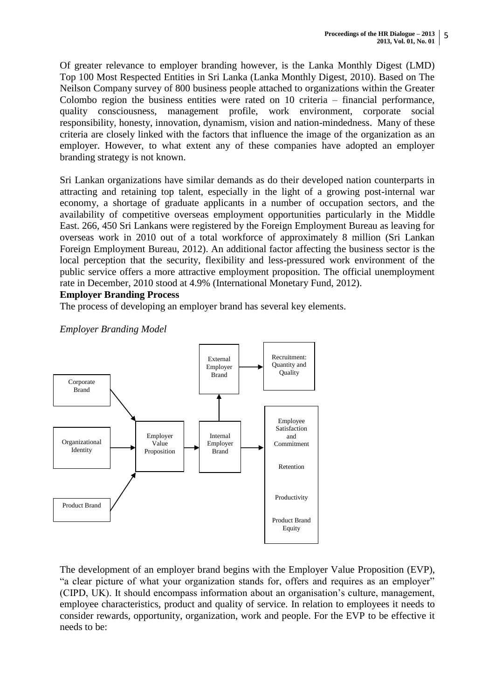Of greater relevance to employer branding however, is the Lanka Monthly Digest (LMD) Top 100 Most Respected Entities in Sri Lanka (Lanka Monthly Digest, 2010). Based on The Neilson Company survey of 800 business people attached to organizations within the Greater Colombo region the business entities were rated on 10 criteria – financial performance, quality consciousness, management profile, work environment, corporate social responsibility, honesty, innovation, dynamism, vision and nation-mindedness. Many of these criteria are closely linked with the factors that influence the image of the organization as an employer. However, to what extent any of these companies have adopted an employer branding strategy is not known.

Sri Lankan organizations have similar demands as do their developed nation counterparts in attracting and retaining top talent, especially in the light of a growing post-internal war economy, a shortage of graduate applicants in a number of occupation sectors, and the availability of competitive overseas employment opportunities particularly in the Middle East. 266, 450 Sri Lankans were registered by the Foreign Employment Bureau as leaving for overseas work in 2010 out of a total workforce of approximately 8 million (Sri Lankan Foreign Employment Bureau, 2012). An additional factor affecting the business sector is the local perception that the security, flexibility and less-pressured work environment of the public service offers a more attractive employment proposition. The official unemployment rate in December, 2010 stood at 4.9% (International Monetary Fund, 2012).

#### **Employer Branding Process**

The process of developing an employer brand has several key elements.

*Employer Branding Model*



The development of an employer brand begins with the Employer Value Proposition (EVP), "a clear picture of what your organization stands for, offers and requires as an employer" (CIPD, UK). It should encompass information about an organisation's culture, management, employee characteristics, product and quality of service. In relation to employees it needs to consider rewards, opportunity, organization, work and people. For the EVP to be effective it needs to be: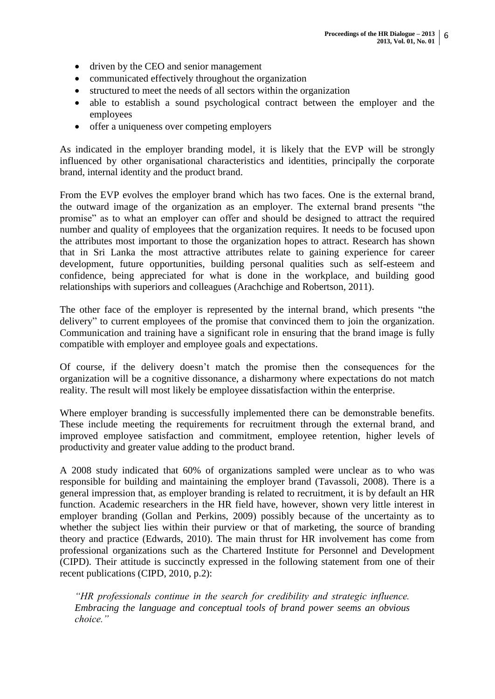- driven by the CEO and senior management
- communicated effectively throughout the organization
- structured to meet the needs of all sectors within the organization
- able to establish a sound psychological contract between the employer and the employees
- offer a uniqueness over competing employers

As indicated in the employer branding model, it is likely that the EVP will be strongly influenced by other organisational characteristics and identities, principally the corporate brand, internal identity and the product brand.

From the EVP evolves the employer brand which has two faces. One is the external brand, the outward image of the organization as an employer. The external brand presents "the promise" as to what an employer can offer and should be designed to attract the required number and quality of employees that the organization requires. It needs to be focused upon the attributes most important to those the organization hopes to attract. Research has shown that in Sri Lanka the most attractive attributes relate to gaining experience for career development, future opportunities, building personal qualities such as self-esteem and confidence, being appreciated for what is done in the workplace, and building good relationships with superiors and colleagues (Arachchige and Robertson, 2011).

The other face of the employer is represented by the internal brand, which presents "the delivery" to current employees of the promise that convinced them to join the organization. Communication and training have a significant role in ensuring that the brand image is fully compatible with employer and employee goals and expectations.

Of course, if the delivery doesn't match the promise then the consequences for the organization will be a cognitive dissonance, a disharmony where expectations do not match reality. The result will most likely be employee dissatisfaction within the enterprise.

Where employer branding is successfully implemented there can be demonstrable benefits. These include meeting the requirements for recruitment through the external brand, and improved employee satisfaction and commitment, employee retention, higher levels of productivity and greater value adding to the product brand.

A 2008 study indicated that 60% of organizations sampled were unclear as to who was responsible for building and maintaining the employer brand (Tavassoli, 2008). There is a general impression that, as employer branding is related to recruitment, it is by default an HR function. Academic researchers in the HR field have, however, shown very little interest in employer branding (Gollan and Perkins, 2009) possibly because of the uncertainty as to whether the subject lies within their purview or that of marketing, the source of branding theory and practice (Edwards, 2010). The main thrust for HR involvement has come from professional organizations such as the Chartered Institute for Personnel and Development (CIPD). Their attitude is succinctly expressed in the following statement from one of their recent publications (CIPD, 2010, p.2):

*"HR professionals continue in the search for credibility and strategic influence. Embracing the language and conceptual tools of brand power seems an obvious choice."*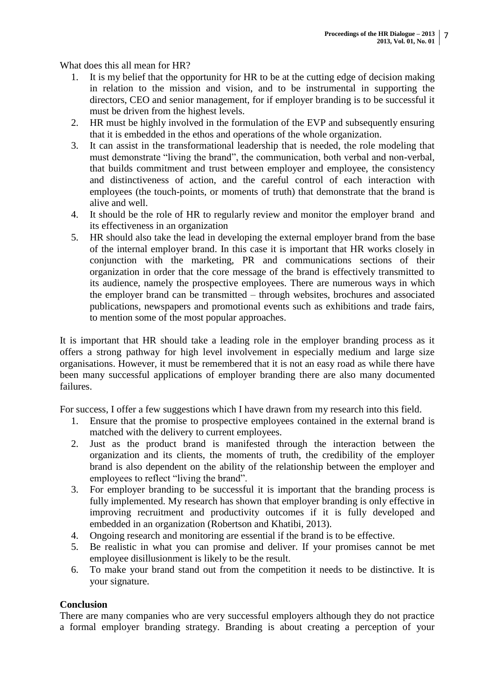What does this all mean for HR?

- 1. It is my belief that the opportunity for HR to be at the cutting edge of decision making in relation to the mission and vision, and to be instrumental in supporting the directors, CEO and senior management, for if employer branding is to be successful it must be driven from the highest levels.
- 2. HR must be highly involved in the formulation of the EVP and subsequently ensuring that it is embedded in the ethos and operations of the whole organization.
- 3. It can assist in the transformational leadership that is needed, the role modeling that must demonstrate "living the brand", the communication, both verbal and non-verbal, that builds commitment and trust between employer and employee, the consistency and distinctiveness of action, and the careful control of each interaction with employees (the touch-points, or moments of truth) that demonstrate that the brand is alive and well.
- 4. It should be the role of HR to regularly review and monitor the employer brand and its effectiveness in an organization
- 5. HR should also take the lead in developing the external employer brand from the base of the internal employer brand. In this case it is important that HR works closely in conjunction with the marketing, PR and communications sections of their organization in order that the core message of the brand is effectively transmitted to its audience, namely the prospective employees. There are numerous ways in which the employer brand can be transmitted – through websites, brochures and associated publications, newspapers and promotional events such as exhibitions and trade fairs, to mention some of the most popular approaches.

It is important that HR should take a leading role in the employer branding process as it offers a strong pathway for high level involvement in especially medium and large size organisations. However, it must be remembered that it is not an easy road as while there have been many successful applications of employer branding there are also many documented failures.

For success, I offer a few suggestions which I have drawn from my research into this field.

- 1. Ensure that the promise to prospective employees contained in the external brand is matched with the delivery to current employees.
- 2. Just as the product brand is manifested through the interaction between the organization and its clients, the moments of truth, the credibility of the employer brand is also dependent on the ability of the relationship between the employer and employees to reflect "living the brand".
- 3. For employer branding to be successful it is important that the branding process is fully implemented. My research has shown that employer branding is only effective in improving recruitment and productivity outcomes if it is fully developed and embedded in an organization (Robertson and Khatibi, 2013).
- 4. Ongoing research and monitoring are essential if the brand is to be effective.
- 5. Be realistic in what you can promise and deliver. If your promises cannot be met employee disillusionment is likely to be the result.
- 6. To make your brand stand out from the competition it needs to be distinctive. It is your signature.

#### **Conclusion**

There are many companies who are very successful employers although they do not practice a formal employer branding strategy. Branding is about creating a perception of your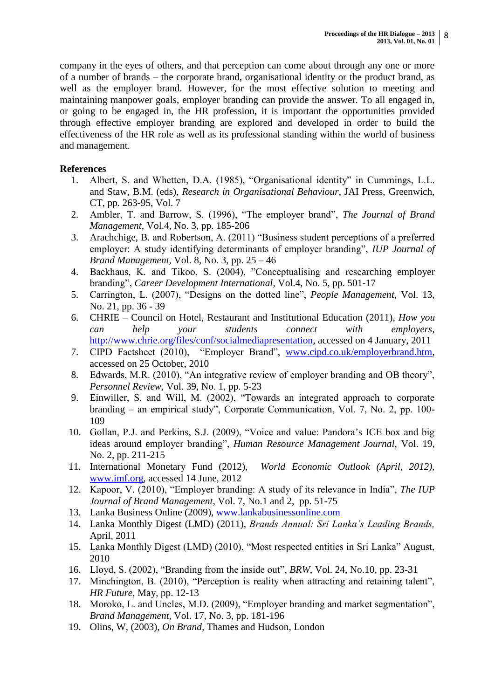company in the eyes of others, and that perception can come about through any one or more of a number of brands – the corporate brand, organisational identity or the product brand, as well as the employer brand. However, for the most effective solution to meeting and maintaining manpower goals, employer branding can provide the answer. To all engaged in, or going to be engaged in, the HR profession, it is important the opportunities provided through effective employer branding are explored and developed in order to build the effectiveness of the HR role as well as its professional standing within the world of business and management.

#### **References**

- 1. Albert, S. and Whetten, D.A. (1985), "Organisational identity" in Cummings, L.L. and Staw, B.M. (eds), *Research in Organisational Behaviour*, JAI Press, Greenwich, CT, pp. 263-95, Vol. 7
- 2. Ambler, T. and Barrow, S. (1996), "The employer brand", *The Journal of Brand Management,* Vol.4, No. 3, pp. 185-206
- 3. Arachchige, B. and Robertson, A. (2011) "Business student perceptions of a preferred employer: A study identifying determinants of employer branding", *IUP Journal of Brand Management,* Vol. 8, No. 3, pp. 25 – 46
- 4. Backhaus, K. and Tikoo, S. (2004), "Conceptualising and researching employer branding", *Career Development International*, Vol.4, No. 5, pp. 501-17
- 5. Carrington, L. (2007), "Designs on the dotted line", *People Management,* Vol. 13, No. 21, pp. 36 - 39
- 6. CHRIE Council on Hotel, Restaurant and Institutional Education (2011), *How you can help your students connect with employers,*  [http://www.chrie.org/files/conf/socialmediapresentation,](http://www.chrie.org/files/conf/socialmediapresentation) accessed on 4 January, 2011
- 7. CIPD Factsheet (2010), "Employer Brand", [www.cipd.co.uk/employerbrand.htm,](http://www.cipd.co.uk/employerbrand.htm) accessed on 25 October, 2010
- 8. Edwards, M.R. (2010), "An integrative review of employer branding and OB theory", *Personnel Review,* Vol. 39, No. 1, pp. 5-23
- 9. Einwiller, S. and Will, M. (2002), "Towards an integrated approach to corporate branding – an empirical study", Corporate Communication, Vol. 7, No. 2, pp. 100- 109
- 10. Gollan, P.J. and Perkins, S.J. (2009), "Voice and value: Pandora's ICE box and big ideas around employer branding", *Human Resource Management Journal,* Vol. 19, No. 2, pp. 211-215
- 11. International Monetary Fund (2012), *World Economic Outlook (April, 2012),* [www.imf.org,](http://www.imf.org/) accessed 14 June, 2012
- 12. Kapoor, V. (2010), "Employer branding: A study of its relevance in India", *The IUP Journal of Brand Management,* Vol. 7, No.1 and 2, pp. 51-75
- 13. Lanka Business Online (2009), [www.lankabusinessonline.com](http://www.lankabusinessonline.com/)
- 14. Lanka Monthly Digest (LMD) (2011), *Brands Annual: Sri Lanka"s Leading Brands,*  April, 2011
- 15. Lanka Monthly Digest (LMD) (2010), "Most respected entities in Sri Lanka" August, 2010
- 16. Lloyd, S. (2002), "Branding from the inside out", *BRW,* Vol. 24, No.10, pp. 23-31
- 17. Minchington, B. (2010), "Perception is reality when attracting and retaining talent", *HR Future*, May, pp. 12-13
- 18. Moroko, L. and Uncles, M.D. (2009), "Employer branding and market segmentation", *Brand Management,* Vol. 17, No. 3, pp. 181-196
- 19. Olins, W, (2003), *On Brand,* Thames and Hudson, London